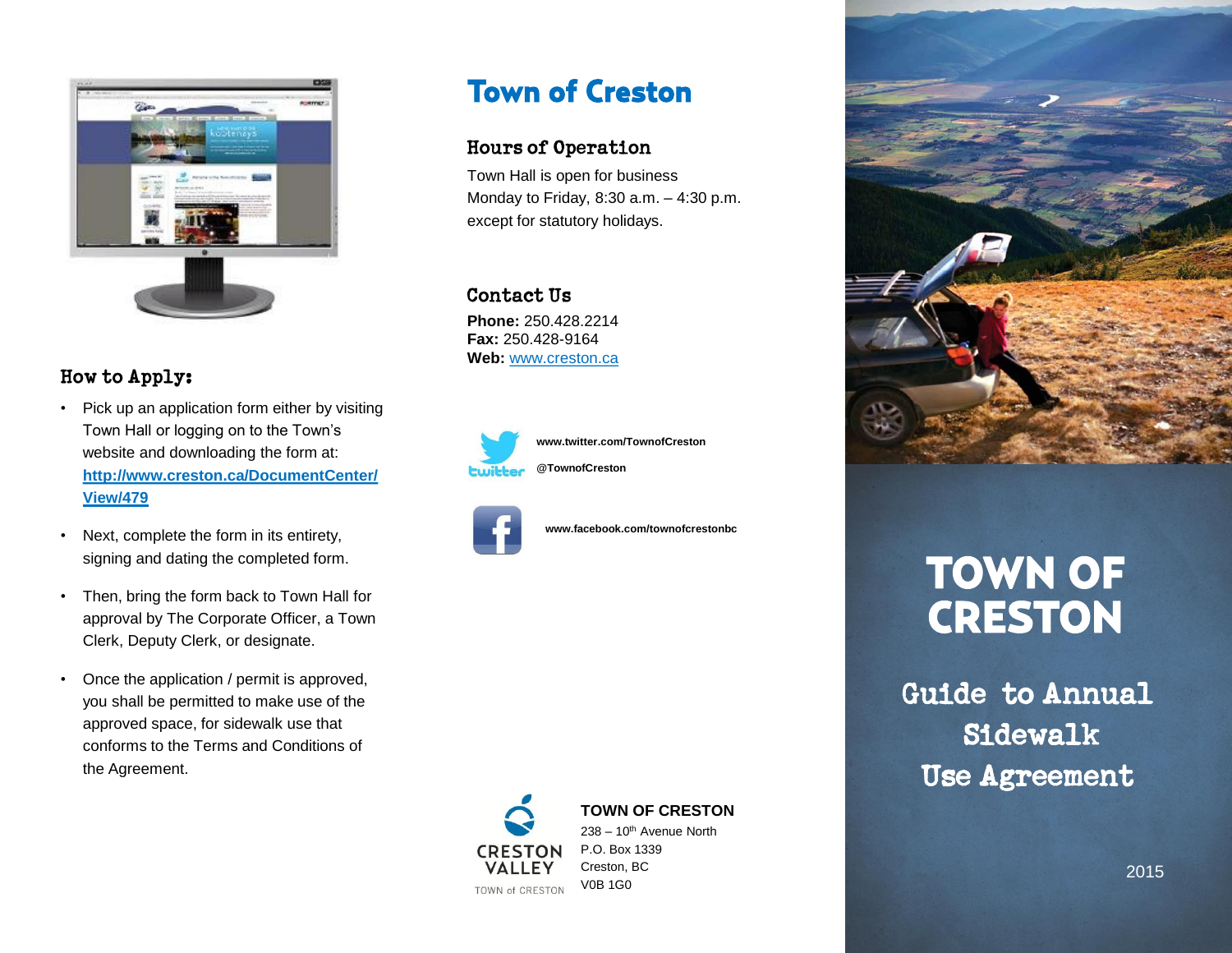

# How to Apply:

- Pick up an application form either by visiting Town Hall or logging on to the Town's website and downloading the form at: **http://www.creston.ca/DocumentCenter/ View/479**
- Next, complete the form in its entirety, signing and dating the completed form.
- Then, bring the form back to Town Hall for approval by The Corporate Officer, a Town Clerk, Deputy Clerk, or designate.
- Once the application / permit is approved, you shall be permitted to make use of the approved space, for sidewalk use that conforms to the Terms and Conditions of the Agreement.

# **Town of Creston**

## **Hours of Operation**

Town Hall is open for business Monday to Friday, 8:30 a.m. – 4:30 p.m. except for statutory holidays.

#### Contact Us

**Phone:** 250.428.2214 **Fax:** 250.428-9164 **Web:** www.creston.ca



**www.twitter.com/TownofCreston @TownofCreston**



**www.facebook.com/townofcrestonbc**



**TOWN OF CRESTON**

238 – 10th Avenue North P.O. Box 1339 Creston, BC V0B 1G0



# **TOWN OF CRESTON**

Guide to Annual Sidewalk **Use Agreement**